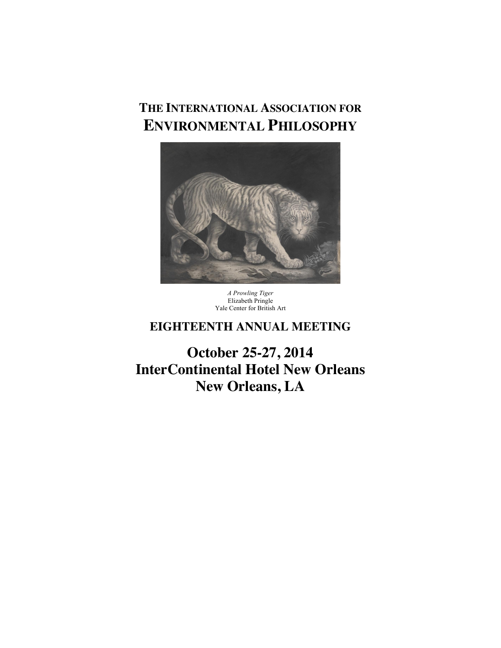# **THE INTERNATIONAL ASSOCIATION FOR ENVIRONMENTAL PHILOSOPHY**



*A Prowling Tiger* Elizabeth Pringle Yale Center for British Art

# **EIGHTEENTH ANNUAL MEETING**

**October 25-27, 2014 InterContinental Hotel New Orleans New Orleans, LA**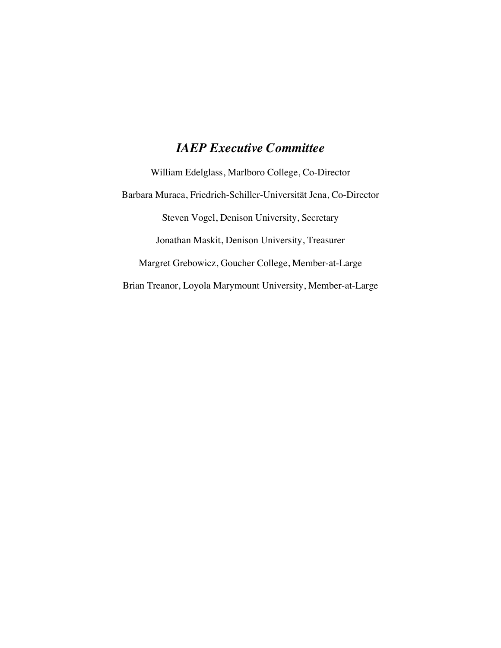# *IAEP Executive Committee*

William Edelglass, Marlboro College, Co-Director Barbara Muraca, Friedrich-Schiller-Universität Jena, Co-Director Steven Vogel, Denison University, Secretary Jonathan Maskit, Denison University, Treasurer Margret Grebowicz, Goucher College, Member-at-Large Brian Treanor, Loyola Marymount University, Member-at-Large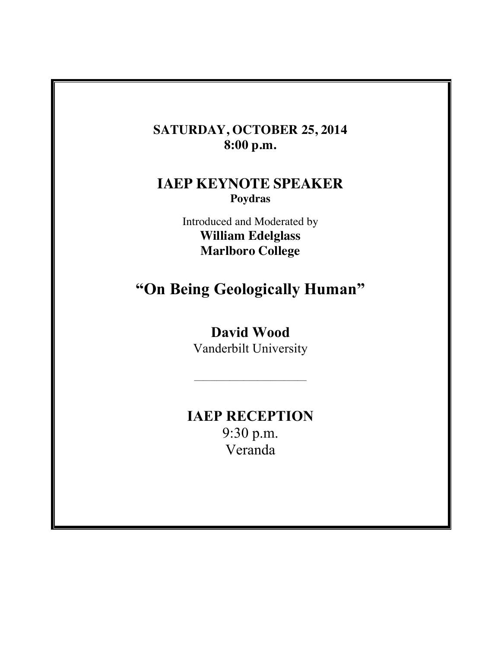# **SATURDAY, OCTOBER 25, 2014 8:00 p.m.**

# **IAEP KEYNOTE SPEAKER Poydras**

Introduced and Moderated by **William Edelglass Marlboro College**

# **"On Being Geologically Human"**

# **David Wood**

Vanderbilt University

 $\mathcal{L}_\text{max}$  and  $\mathcal{L}_\text{max}$  and  $\mathcal{L}_\text{max}$ 

# **IAEP RECEPTION** 9:30 p.m. Veranda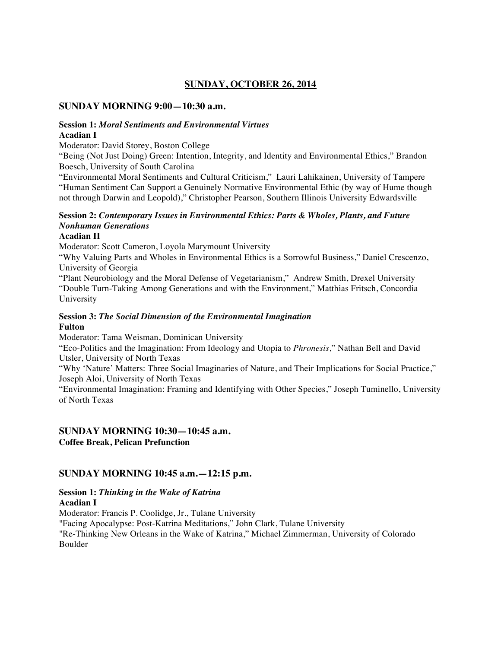# **SUNDAY, OCTOBER 26, 2014**

#### **SUNDAY MORNING 9:00—10:30 a.m.**

#### **Session 1:** *Moral Sentiments and Environmental Virtues* **Acadian I**

Moderator: David Storey, Boston College

"Being (Not Just Doing) Green: Intention, Integrity, and Identity and Environmental Ethics," Brandon Boesch, University of South Carolina

"Environmental Moral Sentiments and Cultural Criticism," Lauri Lahikainen, University of Tampere "Human Sentiment Can Support a Genuinely Normative Environmental Ethic (by way of Hume though not through Darwin and Leopold)," Christopher Pearson, Southern Illinois University Edwardsville

# **Session 2:** *Contemporary Issues in Environmental Ethics: Parts & Wholes, Plants, and Future Nonhuman Generations*

#### **Acadian II**

Moderator: Scott Cameron, Loyola Marymount University

"Why Valuing Parts and Wholes in Environmental Ethics is a Sorrowful Business," Daniel Crescenzo, University of Georgia

"Plant Neurobiology and the Moral Defense of Vegetarianism," Andrew Smith, Drexel University "Double Turn-Taking Among Generations and with the Environment," Matthias Fritsch, Concordia University

#### **Session 3:** *The Social Dimension of the Environmental Imagination* **Fulton**

Moderator: Tama Weisman, Dominican University

"Eco-Politics and the Imagination: From Ideology and Utopia to *Phronesis*," Nathan Bell and David Utsler, University of North Texas

"Why 'Nature' Matters: Three Social Imaginaries of Nature, and Their Implications for Social Practice," Joseph Aloi, University of North Texas

"Environmental Imagination: Framing and Identifying with Other Species," Joseph Tuminello, University of North Texas

# **SUNDAY MORNING 10:30—10:45 a.m.**

**Coffee Break, Pelican Prefunction**

## **SUNDAY MORNING 10:45 a.m.—12:15 p.m.**

#### **Session 1:** *Thinking in the Wake of Katrina* **Acadian I**

Moderator: Francis P. Coolidge, Jr., Tulane University "Facing Apocalypse: Post-Katrina Meditations," John Clark, Tulane University "Re-Thinking New Orleans in the Wake of Katrina," Michael Zimmerman, University of Colorado Boulder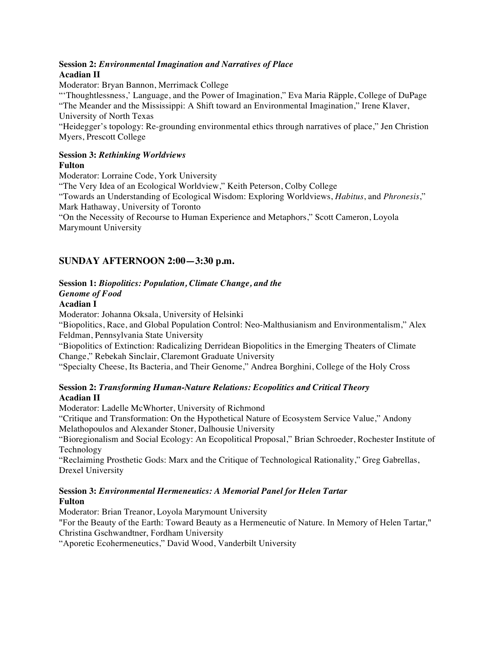#### **Session 2:** *Environmental Imagination and Narratives of Place* **Acadian II**

Moderator: Bryan Bannon, Merrimack College

"'Thoughtlessness,' Language, and the Power of Imagination," Eva Maria Räpple, College of DuPage "The Meander and the Mississippi: A Shift toward an Environmental Imagination," Irene Klaver, University of North Texas

"Heidegger's topology: Re-grounding environmental ethics through narratives of place," Jen Christion Myers, Prescott College

#### **Session 3:** *Rethinking Worldviews* **Fulton**

Moderator: Lorraine Code, York University

"The Very Idea of an Ecological Worldview," Keith Peterson, Colby College

"Towards an Understanding of Ecological Wisdom: Exploring Worldviews, *Habitus*, and *Phronesis*," Mark Hathaway, University of Toronto

"On the Necessity of Recourse to Human Experience and Metaphors," Scott Cameron, Loyola Marymount University

# **SUNDAY AFTERNOON 2:00—3:30 p.m.**

## **Session 1:** *Biopolitics: Population, Climate Change, and the*

#### *Genome of Food*

#### **Acadian I**

Moderator: Johanna Oksala, University of Helsinki

"Biopolitics, Race, and Global Population Control: Neo-Malthusianism and Environmentalism," Alex Feldman, Pennsylvania State University

"Biopolitics of Extinction: Radicalizing Derridean Biopolitics in the Emerging Theaters of Climate Change," Rebekah Sinclair, Claremont Graduate University

"Specialty Cheese, Its Bacteria, and Their Genome," Andrea Borghini, College of the Holy Cross

#### **Session 2:** *Transforming Human-Nature Relations: Ecopolitics and Critical Theory* **Acadian II**

Moderator: Ladelle McWhorter, University of Richmond

"Critique and Transformation: On the Hypothetical Nature of Ecosystem Service Value," Andony Melathopoulos and Alexander Stoner, Dalhousie University

"Bioregionalism and Social Ecology: An Ecopolitical Proposal," Brian Schroeder, Rochester Institute of Technology

"Reclaiming Prosthetic Gods: Marx and the Critique of Technological Rationality," Greg Gabrellas, Drexel University

#### **Session 3:** *Environmental Hermeneutics: A Memorial Panel for Helen Tartar* **Fulton**

Moderator: Brian Treanor, Loyola Marymount University "For the Beauty of the Earth: Toward Beauty as a Hermeneutic of Nature. In Memory of Helen Tartar," Christina Gschwandtner, Fordham University

"Aporetic Ecohermeneutics," David Wood, Vanderbilt University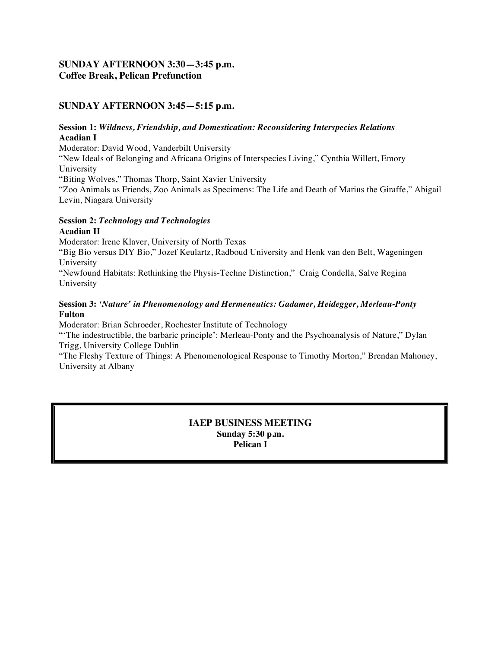# **SUNDAY AFTERNOON 3:30—3:45 p.m. Coffee Break, Pelican Prefunction**

# **SUNDAY AFTERNOON 3:45—5:15 p.m.**

#### **Session 1:** *Wildness, Friendship, and Domestication: Reconsidering Interspecies Relations* **Acadian I**

Moderator: David Wood, Vanderbilt University

"New Ideals of Belonging and Africana Origins of Interspecies Living," Cynthia Willett, Emory University

"Biting Wolves," Thomas Thorp, Saint Xavier University

"Zoo Animals as Friends, Zoo Animals as Specimens: The Life and Death of Marius the Giraffe," Abigail Levin, Niagara University

## **Session 2:** *Technology and Technologies* **Acadian II**

Moderator: Irene Klaver, University of North Texas

"Big Bio versus DIY Bio," Jozef Keulartz, Radboud University and Henk van den Belt, Wageningen University

"Newfound Habitats: Rethinking the Physis-Techne Distinction," Craig Condella, Salve Regina University

### **Session 3:** *'Nature' in Phenomenology and Hermeneutics: Gadamer, Heidegger, Merleau-Ponty* **Fulton**

Moderator: Brian Schroeder, Rochester Institute of Technology

"'The indestructible, the barbaric principle': Merleau-Ponty and the Psychoanalysis of Nature," Dylan Trigg, University College Dublin

"The Fleshy Texture of Things: A Phenomenological Response to Timothy Morton," Brendan Mahoney, University at Albany

> **IAEP BUSINESS MEETING Sunday 5:30 p.m. Pelican I**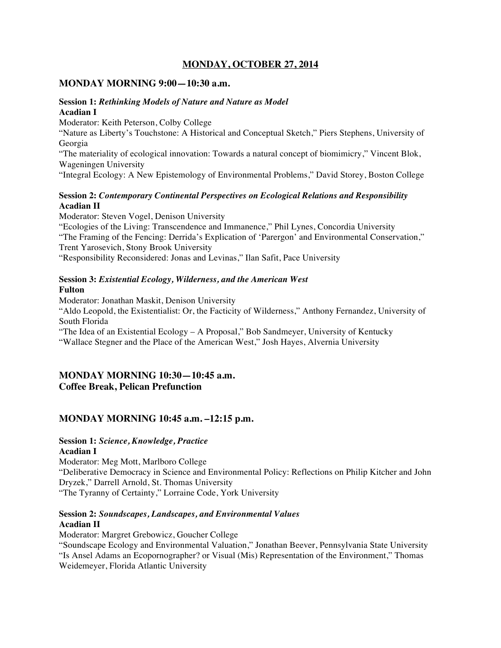## **MONDAY, OCTOBER 27, 2014**

#### **MONDAY MORNING 9:00—10:30 a.m.**

#### **Session 1:** *Rethinking Models of Nature and Nature as Model* **Acadian I**

Moderator: Keith Peterson, Colby College

"Nature as Liberty's Touchstone: A Historical and Conceptual Sketch," Piers Stephens, University of Georgia

"The materiality of ecological innovation: Towards a natural concept of biomimicry," Vincent Blok, Wageningen University

"Integral Ecology: A New Epistemology of Environmental Problems," David Storey, Boston College

#### **Session 2:** *Contemporary Continental Perspectives on Ecological Relations and Responsibility* **Acadian II**

Moderator: Steven Vogel, Denison University "Ecologies of the Living: Transcendence and Immanence," Phil Lynes, Concordia University "The Framing of the Fencing: Derrida's Explication of 'Parergon' and Environmental Conservation," Trent Yarosevich, Stony Brook University "Responsibility Reconsidered: Jonas and Levinas," Ilan Safit, Pace University

## **Session 3:** *Existential Ecology, Wilderness, and the American West* **Fulton**

Moderator: Jonathan Maskit, Denison University "Aldo Leopold, the Existentialist: Or, the Facticity of Wilderness," Anthony Fernandez, University of South Florida

"The Idea of an Existential Ecology – A Proposal," Bob Sandmeyer, University of Kentucky "Wallace Stegner and the Place of the American West," Josh Hayes, Alvernia University

## **MONDAY MORNING 10:30—10:45 a.m. Coffee Break, Pelican Prefunction**

# **MONDAY MORNING 10:45 a.m. –12:15 p.m.**

# **Session 1:** *Science, Knowledge, Practice*

#### **Acadian I**

Moderator: Meg Mott, Marlboro College "Deliberative Democracy in Science and Environmental Policy: Reflections on Philip Kitcher and John Dryzek," Darrell Arnold, St. Thomas University "The Tyranny of Certainty," Lorraine Code, York University

#### **Session 2:** *Soundscapes, Landscapes, and Environmental Values* **Acadian II**

Moderator: Margret Grebowicz, Goucher College

"Soundscape Ecology and Environmental Valuation," Jonathan Beever, Pennsylvania State University "Is Ansel Adams an Ecopornographer? or Visual (Mis) Representation of the Environment," Thomas Weidemeyer, Florida Atlantic University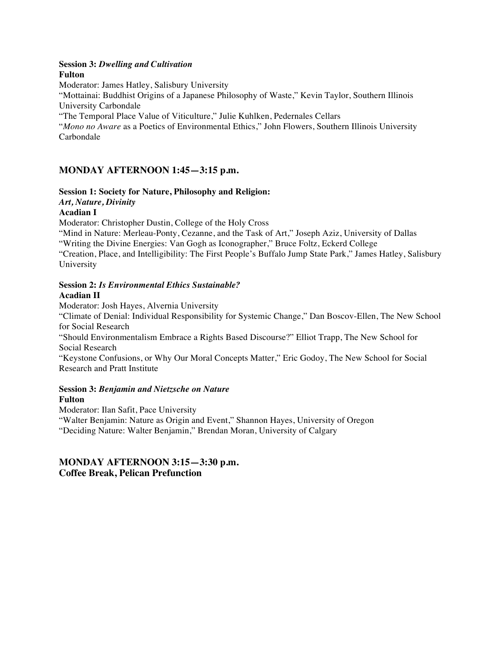#### **Session 3:** *Dwelling and Cultivation* **Fulton**

Moderator: James Hatley, Salisbury University

"Mottainai: Buddhist Origins of a Japanese Philosophy of Waste," Kevin Taylor, Southern Illinois University Carbondale

"The Temporal Place Value of Viticulture," Julie Kuhlken, Pedernales Cellars

"*Mono no Aware* as a Poetics of Environmental Ethics," John Flowers, Southern Illinois University Carbondale

# **MONDAY AFTERNOON 1:45—3:15 p.m.**

## **Session 1: Society for Nature, Philosophy and Religion:**

## *Art, Nature, Divinity*

#### **Acadian I**

Moderator: Christopher Dustin, College of the Holy Cross

"Mind in Nature: Merleau-Ponty, Cezanne, and the Task of Art," Joseph Aziz, University of Dallas "Writing the Divine Energies: Van Gogh as Iconographer," Bruce Foltz, Eckerd College

"Creation, Place, and Intelligibility: The First People's Buffalo Jump State Park," James Hatley, Salisbury University

# **Session 2:** *Is Environmental Ethics Sustainable?*

#### **Acadian II**

Moderator: Josh Hayes, Alvernia University

"Climate of Denial: Individual Responsibility for Systemic Change," Dan Boscov-Ellen, The New School for Social Research

"Should Environmentalism Embrace a Rights Based Discourse?" Elliot Trapp, The New School for Social Research

"Keystone Confusions, or Why Our Moral Concepts Matter," Eric Godoy, The New School for Social Research and Pratt Institute

#### **Session 3:** *Benjamin and Nietzsche on Nature* **Fulton**

Moderator: Ilan Safit, Pace University "Walter Benjamin: Nature as Origin and Event," Shannon Hayes, University of Oregon "Deciding Nature: Walter Benjamin," Brendan Moran, University of Calgary

# **MONDAY AFTERNOON 3:15—3:30 p.m. Coffee Break, Pelican Prefunction**